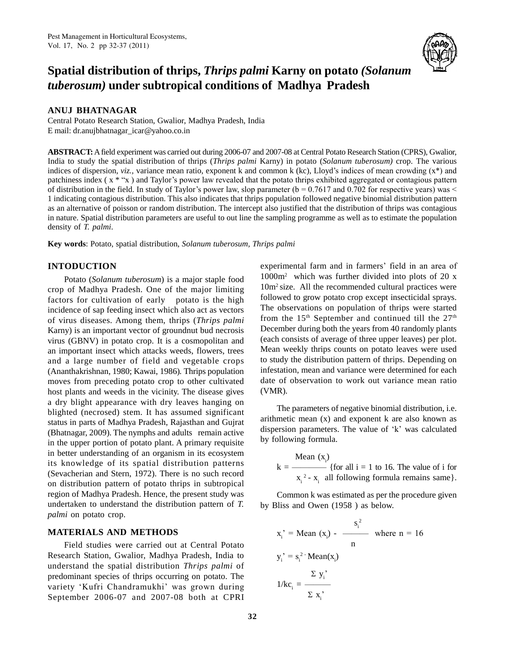

# **Spatial distribution of thrips,** *Thrips palmi* **Karny on potato** *(Solanum tuberosum)* **under subtropical conditions of Madhya Pradesh**

#### **ANUJ BHATNAGAR**

Central Potato Research Station, Gwalior, Madhya Pradesh, India E mail: [dr.anujbhatnagar\\_icar@yahoo.co.in](mailto:dr.anujbhatnagar_icar@yahoo.co.in)

**ABSTRACT:**Afield experiment was carried out during 2006-07 and 2007-08 at Central Potato Research Station (CPRS), Gwalior, India to study the spatial distribution ofthrips (*Thrips palmi* Karny) in potato (*Solanum tuberosum)* crop. The various **ABSTRACT:** A field experiment was carried out during 2006-07 and 2007-08 at Central Potato Research Station (CPRS), Gwalior, India to study the spatial distribution of thrips (*Thrips palmi* Karny) in potato (*Solanum tub* India to study the spatial distribution of thrips (*Thrips palmi* Karny) in potato (*Solanum tuberosum*) crop. The various indices of dispersion, *viz.*, variance mean ratio, exponent k and common k (kc), Lloyd's indices indices of dispersion, *viz.*, variance mean ratio, exponent k and common k (kc), Lloyd's indices of mean crowding  $(x^*)$  and patchiness index  $(x^*$  x  $)$  and Taylor's power law revealed that the potato thrips exhibited ag 1 indicating contagious distribution. This also indicates that thrips population followed negative binomial distribution pattern as an alternative of poisson or random distribution. The intercept also justified that the distribution of thrips was contagious in nature. Spatial distribution parameters are useful to out line the sampling programme as well as to estimate the population density of *T. palmi*.

**Key words**: Potato, spatial distribution, *Solanum tuberosum, Thrips palmi*

# **INTODUCTION**

Potato (*Solanum tuberosum*) is a major staple food crop of Madhya Pradesh. One of the major limiting factors for cultivation of early potato is the high incidence of sap feeding insect which also act as vectors of virus diseases. Among them, thrips (*Thrips palmi* Karny) is an important vector of groundnut bud necrosis virus (GBNV) in potato crop. It is a cosmopolitan and an important insect which attacks weeds, flowers, trees and a large number of field and vegetable crops (Ananthakrishnan, 1980; Kawai, 1986)*.* Thrips population moves from preceding potato crop to other cultivated host plants and weeds in the vicinity. The disease gives a dry blight appearance with dry leaves hanging on blighted (necrosed) stem. It has assumed significant status in parts of Madhya Pradesh, Rajasthan and Gujrat and metal and the displacement is a displaced at the metal of the displacement of the state of the state and adults remain active dispersion parameters. The value of (Bhatnagar, 2009). The nymphs and adults remain active in the upper portion of potato plant. A primary requisite in better understanding of an organism in its ecosystem its knowledge of its spatial distribution patterns (Sevacherian and Stern, 1972). There is no such record on distribution pattern of potato thrips in subtropical region of Madhya Pradesh. Hence, the present study was undertaken to understand the distribution pattern of *T. palmi* on potato crop.

# **MATERIALS AND METHODS**

Field studies were carried out at Central Potato Research Station, Gwalior, Madhya Pradesh, India to understand the spatial distribution *Thrips palmi* of<br>predominant species of thrips occurring on potato. The<br>variety 'Kufri Chandramukhi' was grown during predominant species of thrips occurring on potato. The September 2006-07 and 2007-08 both at CPRI

experimental farm and in farmers' field in an area of 1000m<sup>2</sup> which was further divided into plots of 20 x 10m<sup>2</sup> size. All the recommended cultural practices were followed to grow potato crop except insecticidal sprays. The observations on population of thrips were started from the  $15<sup>th</sup>$  September and continued till the  $27<sup>th</sup>$ December during both the years from 40 randomly plants (each consists of average of three upper leaves) per plot. Mean weekly thrips counts on potato leaves were used to study the distribution pattern of thrips. Depending on infestation, mean and variance were determined for each date of observation to work out variance mean ratio (VMR).

The parameters of negative binomial distribution, i.e. arithmetic mean (x) and exponent k are also known as The parameters of negative binomial distribution, i.e.<br>arithmetic mean (x) and exponent k are also known as<br>dispersion parameters. The value of 'k' was calculated by following formula.

Mean 
$$
(x_i)
$$
  
\n $k = \frac{\text{Mean } (x_i)}{x_i^2 - x_i}$  {for all i = 1 to 16. The value of i for  $x_i^2 - x_i$  all following formula remains same}.

Common k was estimated as per the procedure given by Bliss and Owen (1958 ) as below.

$$
x_i' = \text{Mean}(x_i) - \frac{s_i^2}{n} \text{ where } n = 16
$$
  
\n $y_i' = s_i^2 \cdot \text{Mean}(x_i)$   
\n $1/kc_i = \frac{\sum y_i'}{\sum x_i'}$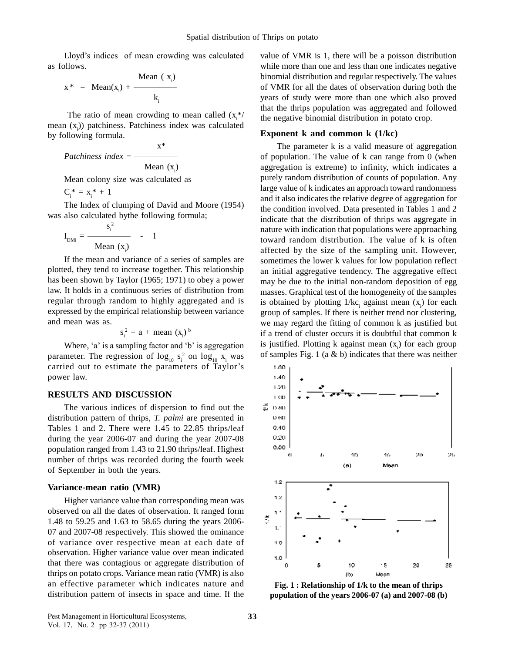Lloyd's indices of mean crowding was calculated as follows.

allows.  

$$
x_i^* = \text{Mean}(x_i) + \frac{\text{Mean}(x_i)}{k_i}
$$

The ratio of mean crowding to mean called  $(x<sub>i</sub><sup>*</sup>/<sub>1</sub>)$ mean  $(x_i)$ ) patchiness. Patchiness index was calculated by following formula.

 $x^*$  $Patchiness$   $index = -$ Mean  $(x_i)$ 

Mean colony size was calculated as

 $C_i^* = x_i^* + 1$ 

The Index of clumping of David and Moore (1954)

was also calculated bythe following formula;  

$$
I_{DMi} = \frac{s_i^2}{Mean (x_i)} - 1
$$

If the mean and variance of a series of samples are plotted, they tend to increase together. This relationship has been shown by Taylor (1965; 1971) to obey a power law. It holds in a continuous series of distribution from regular through random to highly aggregated and is expressed by the empirical relationship between variance and mean was as.

$$
s_i^2 = a + \text{mean } (x_i)^b
$$

Where,  $a'$  is a sampling factor and  $b'$  is aggregation parameter. The regression of  $\log_{10} s_i^2$  on  $\log_{10} x_i$  was of Where, 'a' is a sampling factor and 'b' is aggregation<br>parameter. The regression of  $\log_{10} s_i^2$  on  $\log_{10} x_i$  was of<br>carried out to estimate the parameters of Taylor's power law.

## **RESULTS AND DISCUSSION**

The various indices of dispersion to find out the  $\vec{z}$  DHD distribution pattern of thrips, *T. palmi* are presented in Tables 1 and 2. There were 1.45 to 22.85 thrips/leaf during the year 2006-07 and during the year 2007-08  $0.20$ <br>nonviction renced from 1.42 to 21.00 thring loof. Highest  $0.80$ population ranged from 1.43 to 21.90 thrips/leaf. Highest number of thrips was recorded during the fourth week of September in both the years.

#### **Variance-mean ratio (VMR)**

Higher variance value than corresponding mean was observed on all the dates of observation. It ranged form<br>1.48 to 59.25 and 1.63 to 58.65 during the years 2006-1.48 to 59.25 and 1.63 to 58.65 during the years 2006- 07 and 2007-08 respectively. This showed the ominance of variance over respective mean at each date of observation. Higher variance value over mean indicated that there was contagious or aggregate distribution of thrips on potato crops. Variance mean ratio (VMR) is also an effective parameter which indicates nature and distribution pattern of insects in space and time. If the

value of VMR is 1, there will be a poisson distribution while more than one and less than one indicates negative binomial distribution and regular respectively. The values of VMR for all the dates of observation during both the years of study were more than one which also proved that the thrips population was aggregated and followed the negative binomial distribution in potato crop.

#### **Exponent k and common k (1/kc)**

The parameter k is a valid measure of aggregation of population. The value of k can range from 0 (when aggregation is extreme) to infinity, which indicates a purely random distribution of counts of population. Any large value of k indicates an approach toward randomness and it also indicates the relative degree of aggregation for the condition involved. Data presented in Tables 1 and 2 indicate that the distribution of thrips was aggregate in nature with indication that populations were approaching toward random distribution. The value of k is often affected by the size of the sampling unit. However, sometimes the lower k values for low population reflect an initial aggregative tendency. The aggregative effect may be due to the initial non-random deposition of egg masses. Graphical test of the homogeneity of the samples is obtained by plotting  $1/kc_i$  against mean  $(x_i)$  for each group of samples. If there is neither trend nor clustering, we may regard the fitting of common k as justified but if a trend of cluster occurs it is doubtful that common k is justified. Plotting  $k$  against mean  $(x)$  for each group of samples Fig. 1 (a  $\&$  b) indicates that there was neither



**Fig. 1 : Relationship of 1/k to the mean of thrips population of the years 2006-07 (a) and 2007-08 (b)**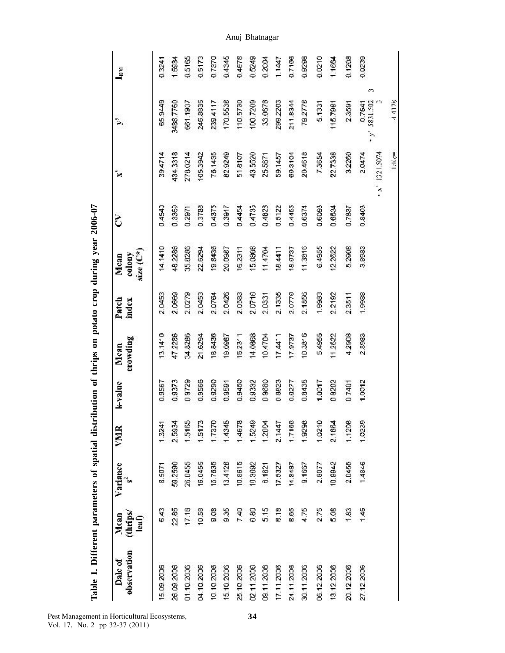| Variance<br>(thrips/<br>Mean<br>leaf) | VNIR   | k-value | crowding<br>Mean | Patch<br>index | $size(\mathbb{C}^*)$<br>colony<br>Mean | Š      | Ŷ,            | ψ,                       | $\Gamma_{\rm H}$ |
|---------------------------------------|--------|---------|------------------|----------------|----------------------------------------|--------|---------------|--------------------------|------------------|
| 8.5071<br>6.43                        | 1.3241 | 0.9567  | 13.14'0          | 2,0453         | 14.1410                                | 0.4540 | 39.4714       | 65.9449                  | 0.3241           |
| 59.2590<br>22.85                      | 2.5934 | 0.9373  | 47.2286          | 2.0669         | 48.2286                                | 0.3369 | 434.3318      | 3488.7760                | 1,5934           |
| 26.0455<br>17.18                      | 1.5165 | 0.9729  | 04.8286          | 2.0279         | 35.8286                                | 0.2971 | 278.0214      | 661.1937                 | 0.5165           |
| 16.0455<br>10.58                      | 1.5173 | 0.9566  | 21.6294          | 2.0453         | 22.6294                                | 0.3788 | 105.3942      | 246.8835                 | 0.5173           |
| 15.7835<br>9.08                       | 1,7370 | 0.9290  | 18,8436          | 2.0764         | 19.8436                                | 0.4375 | 78,1435       | 239.4117                 | 0.7370           |
| 13.4128<br>9.35                       | 1,4345 | 0.9591  | 19.0987          | 2.0426         | 20.0987                                | 0.3917 | 82.9249       | 170.5538                 | 0.4345           |
| 10.8615<br>7,40                       | 1,4678 | 0.9450  | 15.23'           | 2,0583         | 16.2311                                | 0.4454 | 51.8107       | 110.5730                 | 0.4678           |
| 10.3692<br>0.80                       | 1.5249 | 0.9332  | 14.0868          | 2.0716         | 15,0808                                | 0.4735 | 43.5520       | 100.7209                 | 0.5249           |
| 6.1821<br>5.15                        | 1,2004 | 0 9680  | 10.4704          | 2.0331         | 11.4704                                | 0.4828 | 25.5671       | 33.0678                  | 0.2004           |
| 17.5327<br>8.18                       | 2.1447 | 0.8623  | $17.44 - 1$      | 2,1335         | 18.4411                                | 0.5122 | 59.1457       | 289.2203                 | 1.1447           |
| 14.8437<br>8.65                       | 1.7168 | 0.9277  | 17.9737          | 2.0779         | 18.9737                                | 0.4455 | B9.3104       | 211.8344                 | 0.7166           |
| 9.1667<br>4.75                        | 1,9298 | 0.8435  | $10.38^{\circ}$  | 2.1856         | 11.3816                                | 0.6374 | 20,4618       | 79.2778                  | 0.9298           |
| 2.8077<br>2.75                        | 1.0210 | 1,0017  | 5.4955           | 1,9983         | 6.4955                                 | 0.6093 | 7,3654        | 5,1331                   | 0.0210           |
| 10.9942<br>5.08                       | 2.1084 | 08202   | 11.2622          | 2.2192         | 12.2622                                | 0.6594 | 22.7338       | 115.7981                 | 1.1664           |
| 2.0455<br>1,83                        | 1.1208 | 07401   | 4,2908           | 2.3511         | 5,2908                                 | 0.7887 | 3,2260        | 2,3591                   | 0.1208           |
| $1.48 - 6$<br>1.45                    | 1,0239 | 1.0012  | 2.8983           | 1.9988         | 3,8983                                 | 0.8403 | 2.0474        | 0.7541                   | 0.0239           |
|                                       |        |         |                  |                |                                        |        | (x, 1221.5074 | 3<br>5831.502<br>3<br>ŷ. |                  |
|                                       |        |         |                  |                |                                        |        | lake=         | 44178                    |                  |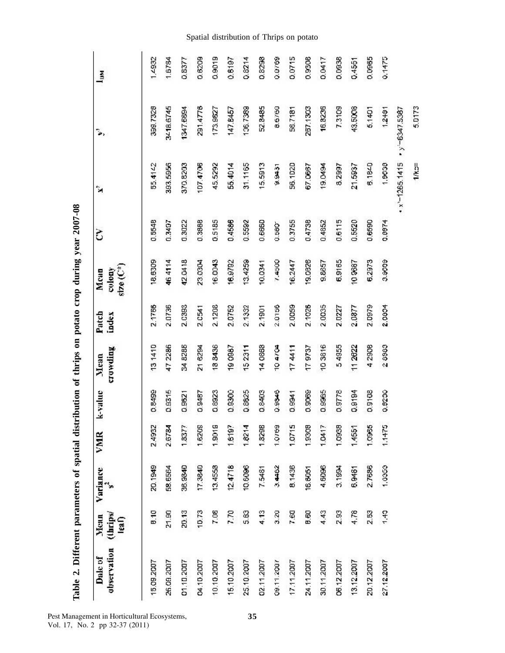| Table 2. Different parameters of spatial distribution of thrips on potato crop during year 2007-08 |                           |          |        |         |                  |                |                               |        |                   |             |              |
|----------------------------------------------------------------------------------------------------|---------------------------|----------|--------|---------|------------------|----------------|-------------------------------|--------|-------------------|-------------|--------------|
| observation<br>Dalc of                                                                             | (thrips/<br>Mean<br>leaf) | Variance | VMR    | k-value | crowding<br>Mean | Patch<br>index | $size(C^*)$<br>colony<br>Mont | Š      | Ñ                 | ۵,          | <b>Light</b> |
| 15.09.2007                                                                                         | 8.10                      | 20.1949  | 2.4932 | 0.8499  | 131410           | 2.1766         | 18,6309                       | 0.5548 | 55.4142           | 399.7328    | 1,4932       |
| 26.09.2007                                                                                         | 21.90                     | 58.6564  | 2.6784 | 0.9315  | 472286           | 2.0736         | 464114                        | 0.3497 | 393.5956          | 3418.6745   | 1.6784       |
| 01.10.2007                                                                                         | 20.13                     | 36,9840  | 1.8377 | 0.9621  | 34 8286          | 2.0393         | 42.0418                       | 0.3022 | 370,8203          | 1347.5894   | 0.8377       |
| 04.10.2007                                                                                         | 10.73                     | 17.3840  | 1,6209 | 0.9487  | 21 6294          | 2.0541         | 23.0304                       | 0.3888 | 107.4706          | 291.4776    | 0.6209       |
| 10.10.2007                                                                                         | 7.08                      | 13.4558  | 1,9019 | 0.8923  | 188436           | 2.1208         | 16,0043                       | 0.5185 | 45.5292           | 173,9827    | 0.9019       |
| 15.10.2007                                                                                         | 7.70                      | 12.4718  | 1,6197 | 0.9300  | 190987           | 2.0752         | 16.9792                       | 0.4586 | 55.4014           | 147.6457    | 0.6187       |
| 25.10.2007                                                                                         | 5.83                      | 10.6096  | 1.8214 | 0.8825  | 152311           | 2.1332         | 13.4259                       | 0.5592 | 31.1165           | 106.7389    | 0.8214       |
| 02.11.2007                                                                                         | 4.13                      | 7.5481   | 1.8298 | 0.8403  | 140868           | 2.1901         | 10.0341                       | 0.6660 | 15,5913           | 52.8485     | 0.8298       |
| 09.11.2007                                                                                         | 3.20                      | 3.4462   | 1.0769 | 0.9046  | 104704           | 2.0156         | 7.4500                        | 0.580  | 15166             | 8.6760      | 0.0769       |
| 17.11.2007                                                                                         | 7.60                      | 8.1436   | 1.0715 | 0.9941  | 174411           | 2.0059         | 16.2447                       | 0.3755 | 56,1020           | 58.7181     | 0.0715       |
| 24.11.2007                                                                                         | 9.60                      | 16,6051  | 1,9308 | 0.90069 | 179737           | 2.1026         | 19.0826                       | 0.4738 | 67.0667           | 257,1303    | 0.9308       |
| 30.11.2007                                                                                         | 4.43                      | 4,6096   | 1.0417 | 0.9985  | 103816           | 2.0035         | 9.8657                        | 0.4852 | <b>HSPO 61</b>    | 16.8236     | 0.0417       |
| 06.12.2007                                                                                         | 2.93                      | 3,1994   | 1,0938 | 0.9778  | 54955            | 2.0227         | 6,9165                        | 0.6115 | 8.2997            | 7.3109      | 0.0938       |
| 13.12.2007                                                                                         | 4.78                      | 6,9481   | 1,4551 | 0.9194  | 112822           | 2.0877         | 109867                        | 0.5520 | 21.5937           | 43.5008     | 0.4551       |
| 20.12.2007                                                                                         | 2.53                      | 2,7686   | 1.0965 | 0.9108  | 42908            | 2.0979         | 6,2973                        | 0.6590 | 6.1840            | 5.1401      | 0.0965       |
| 27.12.2007                                                                                         | 1,43                      | 1,0353   | 1.1475 | 0.9230  | 28983            | 2.0834         | 3.9609                        | 0.8974 | 1,9638            | 1.2491      | 0.1475       |
|                                                                                                    |                           |          |        |         |                  |                |                               |        | $4x - 1265, 1415$ | $-247.5387$ |              |

Pest Management in Horticultural Ecosystems,<br>Vol. 17, No. 2 pp 32-37 (2011)

# Spatial distribution of Thrips on potato

 $1/kz$ 

5.0173

35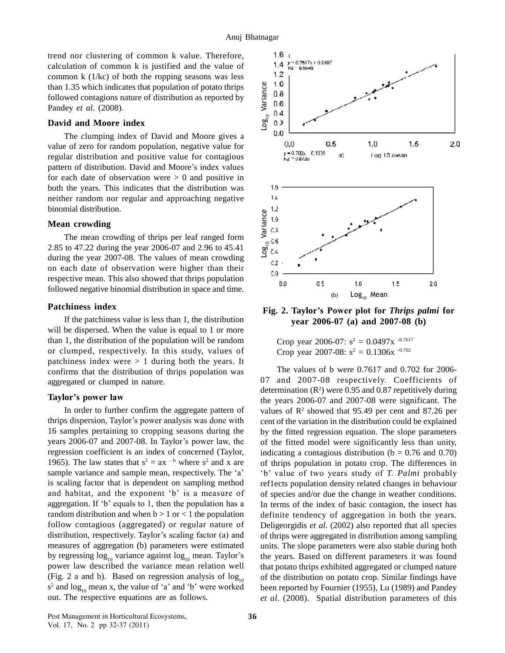trend nor clustering of common k value. Therefore, calculation of common k is justified and the value of common k (1/kc) of both the ropping seasons was less than 1.35 which indicates that population of potato thrips<br>followed contagions nature of distribution as reported by<br>Pandey *et al.* (2008). followed contagions nature of distribution as reported by  $\frac{5}{6}$  0.8 Pandey *et al*. (2008).

#### **David and Moore index**

The clumping index of David and Moore gives a value of zero for random population, negative value for<br>regular distribution and positive value for contagious<br>pattern of distribution. David and Moore's index values regular distribution and positive value for contagious for each date of observation were  $> 0$  and positive in both the years. This indicates that the distribution was neither random nor regular and approaching negative 1.4 binomial distribution. mial distribution.<br> **In crowding**<br>
The mean crowding of thrips per leaf ranged form

#### **Mean crowding**

2.85 to 47.22 during the year 2006-07 and 2.96 to 45.41 during the year 2007-08. The values of mean crowding  $\frac{3}{2}$ on each date of observation were higher than their respective mean. This also showed that thrips population followed negative binomial distribution in space and time.

#### **Patchiness index**

If the patchiness value is less than 1, the distribution will be dispersed. When the value is equal to 1 or more than 1, the distribution of the population will be random or clumped, respectively. In this study, values of patchiness index were  $> 1$  during both the years. It confirms that the distribution of thrips population was aggregated or clumped in nature. contirms that the distribution of the<br>aggregated or clumped in nature.<br>**Taylor's power law** 

In order to further confirm the aggregate pattern of Taylor's power law the three to further confirm the aggregate pattern of value thrips dispersion, Taylor's power analysis was done with cent 16 samples pertaining to cropping seasons during the thrips dispersion, Taylor's power analysis was done with<br>16 samples pertaining to cropping seasons during the by<br>years 2006-07 and 2007-08. In Taylor's power law, the of regression coefficient is an index of concerned (Taylor, regression coefficient is an index of concerned (Taylor, ind 1965). The law states that  $s^2 = ax^{-b}$  where  $s^2$  and x are of 1 regression coefficient is an index of concerned (Taylor, in 1965). The law states that  $s^2 = ax^{-b}$  where  $s^2$  and x are osample variance and sample mean, respectively. The 'a' 'l is scaling factor that is dependent on sampling method sample variance and sample mean, respectively. The 'a'  $\cdot$  'b' value of two years study of *T*. Palmi probably is scaling factor that is dependent on sampling method reflects population density related changes in behavio aggregation. If  $b'$  equals to 1, then the population has a random distribution and when  $b > 1$  or  $< 1$  the population follow contagious (aggregated) or regular nature of random distribution and when  $b > 1$  or < 1 the population defi-<br>follow contagious (aggregated) or regular nature of Deli-<br>distribution, respectively. Taylor's scaling factor (a) and of the measures of aggregation (b) parameters were estimated distribution, respectively. Taylor's scaling factor (a) and<br>measures of aggregation (b) parameters were estimated<br>by regressing  $log_{10}$  variance against  $log_{10}$  mean. Taylor's power law described the variance mean relation well that (Fig. 2 a and b). Based on regression analysis of  $log_{10}$  of th  $s^2$  and  $log_{10}$  mean x, the value of 'a' and 'b' were worked been (Fig. 2 a and b). Based on regression analysis of  $\log_{10}$ <br>s<sup>2</sup> and  $\log_{10}$  mean x, the value of 'a' and 'b' were worked out. The respective equations are as follows. *et al.* (*Pest Management in Horticultural Ecosystems*, **36** 



**year 2006-07 (a) and 2007-08 (b)**

Crop year 2006-07:  $s^2 = 0.0497x^{-0.7617}$ Crop year 2007-08:  $s^2 = 0.1306x^{-0.702}$ 

The values of b were 0.7617 and 0.702 for 2006- 07 and 2007-08 respectively. Coefficients of determination  $(R^2)$  were 0.95 and 0.87 repetitively during the years 2006-07 and 2007-08 were significant. The values of  $\mathbb{R}^2$  showed that 95.49 per cent and 87.26 per cent of the variation in the distribution could be explained by the fitted regression equation. The slope parameters of the fitted model were significantly less than unity, indicating a contagious distribution ( $b = 0.76$  and  $0.70$ )<br>of thrips population in potato crop. The differences in<br>'b' value of two years study of *T. Palmi* probably of thrips population in potato crop. The differences in ref1ects population density related changes in behaviour of species and/or due the change in weather conditions. In terms of the index of basic contagion, the insect has definite tendency of aggregation in both the years. Deligeorgidis *et al.* (2002) also reported that all species of thrips were aggregated in distribution among sampling units. The slope parameters were also stable during both the years. Based on different parameters it was found that potato thrips exhibited aggregated or clumped nature of the distribution on potato crop. Similar findings have been reported by Fournier (1955), Lu (1989) and Pandey *et al*. (2008). Spatial distribution parameters of this